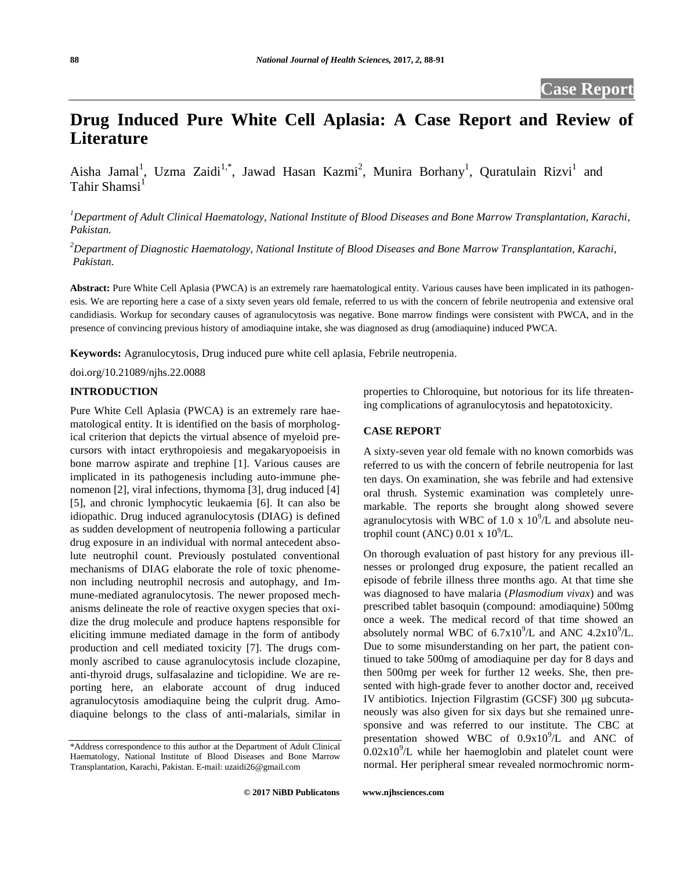# **Drug Induced Pure White Cell Aplasia: A Case Report and Review of Literature**

Aisha Jamal<sup>1</sup>, Uzma Zaidi<sup>1,\*</sup>, Jawad Hasan Kazmi<sup>2</sup>, Munira Borhany<sup>1</sup>, Quratulain Rizvi<sup>1</sup> and Tahir Shamsi $<sup>1</sup>$ </sup>

*<sup>1</sup>Department of Adult Clinical Haematology, National Institute of Blood Diseases and Bone Marrow Transplantation, Karachi, Pakistan.*

*<sup>2</sup>Department of Diagnostic Haematology, National Institute of Blood Diseases and Bone Marrow Transplantation, Karachi, Pakistan.*

**Abstract:** Pure White Cell Aplasia (PWCA) is an extremely rare haematological entity. Various causes have been implicated in its pathogenesis. We are reporting here a case of a sixty seven years old female, referred to us with the concern of febrile neutropenia and extensive oral candidiasis. Workup for secondary causes of agranulocytosis was negative. Bone marrow findings were consistent with PWCA, and in the presence of convincing previous history of amodiaquine intake, she was diagnosed as drug (amodiaquine) induced PWCA.

**Keywords:** Agranulocytosis, Drug induced pure white cell aplasia, Febrile neutropenia.

doi.org/10.21089/njhs.22.0088

#### **INTRODUCTION**

Pure White Cell Aplasia (PWCA) is an extremely rare haematological entity. It is identified on the basis of morphological criterion that depicts the virtual absence of myeloid precursors with intact erythropoiesis and megakaryopoeisis in bone marrow aspirate and trephine [1]. Various causes are implicated in its pathogenesis including auto-immune phenomenon [2], viral infections, thymoma [3], drug induced [4] [5], and chronic lymphocytic leukaemia [6]. It can also be idiopathic. Drug induced agranulocytosis (DIAG) is defined as sudden development of neutropenia following a particular drug exposure in an individual with normal antecedent absolute neutrophil count. Previously postulated conventional mechanisms of DIAG elaborate the role of toxic phenomenon including neutrophil necrosis and autophagy, and Immune-mediated agranulocytosis. The newer proposed mechanisms delineate the role of reactive oxygen species that oxidize the drug molecule and produce haptens responsible for eliciting immune mediated damage in the form of antibody production and cell mediated toxicity [7]. The drugs commonly ascribed to cause agranulocytosis include clozapine, anti-thyroid drugs, sulfasalazine and ticlopidine. We are reporting here, an elaborate account of drug induced agranulocytosis amodiaquine being the culprit drug. Amodiaquine belongs to the class of anti-malarials, similar in

properties to Chloroquine, but notorious for its life threatening complications of agranulocytosis and hepatotoxicity.

### **CASE REPORT**

A sixty-seven year old female with no known comorbids was referred to us with the concern of febrile neutropenia for last ten days. On examination, she was febrile and had extensive oral thrush. Systemic examination was completely unremarkable. The reports she brought along showed severe agranulocytosis with WBC of 1.0 x  $10^9$ /L and absolute neutrophil count (ANC)  $0.01 \times 10^9$ /L.

On thorough evaluation of past history for any previous illnesses or prolonged drug exposure, the patient recalled an episode of febrile illness three months ago. At that time she was diagnosed to have malaria (*Plasmodium vivax*) and was prescribed tablet basoquin (compound: amodiaquine) 500mg once a week. The medical record of that time showed an absolutely normal WBC of  $6.7x10^9$ /L and ANC  $4.2x10^9$ /L. Due to some misunderstanding on her part, the patient continued to take 500mg of amodiaquine per day for 8 days and then 500mg per week for further 12 weeks. She, then presented with high-grade fever to another doctor and, received IV antibiotics. Injection Filgrastim (GCSF) 300 µg subcutaneously was also given for six days but she remained unresponsive and was referred to our institute. The CBC at presentation showed WBC of  $0.9x10^9$ /L and ANC of  $0.02 \times 10^{9}$ /L while her haemoglobin and platelet count were normal. Her peripheral smear revealed normochromic norm-

<sup>\*</sup>Address correspondence to this author at the Department of Adult Clinical Haematology, National Institute of Blood Diseases and Bone Marrow Transplantation, Karachi, Pakistan. E-mail: uzaidi26@gmail.com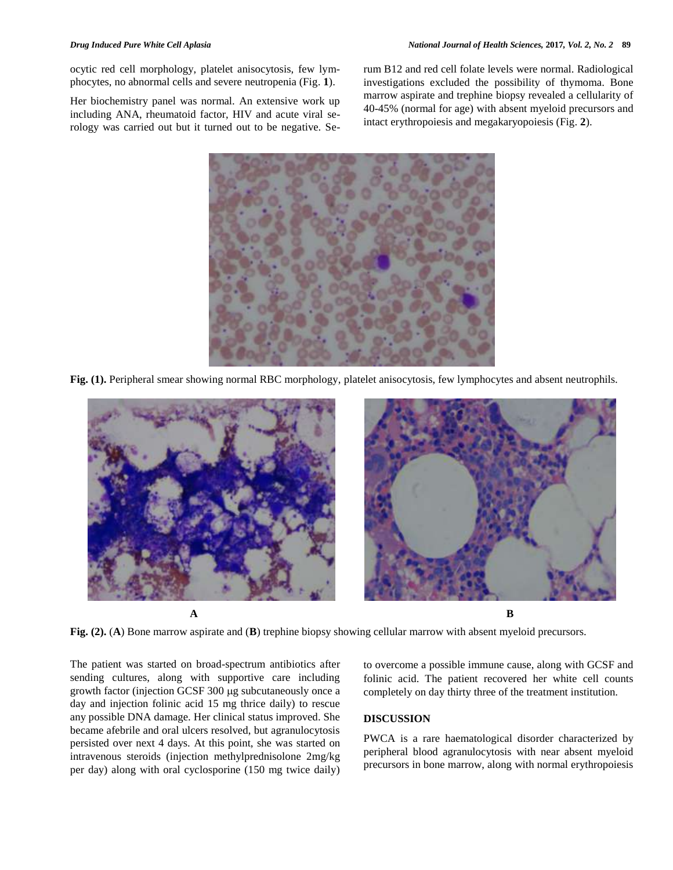ocytic red cell morphology, platelet anisocytosis, few lymphocytes, no abnormal cells and severe neutropenia (Fig. **1**).

Her biochemistry panel was normal. An extensive work up including ANA, rheumatoid factor, HIV and acute viral serology was carried out but it turned out to be negative. Serum B12 and red cell folate levels were normal. Radiological investigations excluded the possibility of thymoma. Bone marrow aspirate and trephine biopsy revealed a cellularity of 40-45% (normal for age) with absent myeloid precursors and intact erythropoiesis and megakaryopoiesis (Fig. **2**).



**Fig. (1).** Peripheral smear showing normal RBC morphology, platelet anisocytosis, few lymphocytes and absent neutrophils.



**Fig. (2).** (**A**) Bone marrow aspirate and (**B**) trephine biopsy showing cellular marrow with absent myeloid precursors.

The patient was started on broad-spectrum antibiotics after sending cultures, along with supportive care including growth factor (injection GCSF 300 µg subcutaneously once a day and injection folinic acid 15 mg thrice daily) to rescue any possible DNA damage. Her clinical status improved. She became afebrile and oral ulcers resolved, but agranulocytosis persisted over next 4 days. At this point, she was started on intravenous steroids (injection methylprednisolone 2mg/kg per day) along with oral cyclosporine (150 mg twice daily)

to overcome a possible immune cause, along with GCSF and folinic acid. The patient recovered her white cell counts completely on day thirty three of the treatment institution.

### **DISCUSSION**

PWCA is a rare haematological disorder characterized by peripheral blood agranulocytosis with near absent myeloid precursors in bone marrow, along with normal erythropoiesis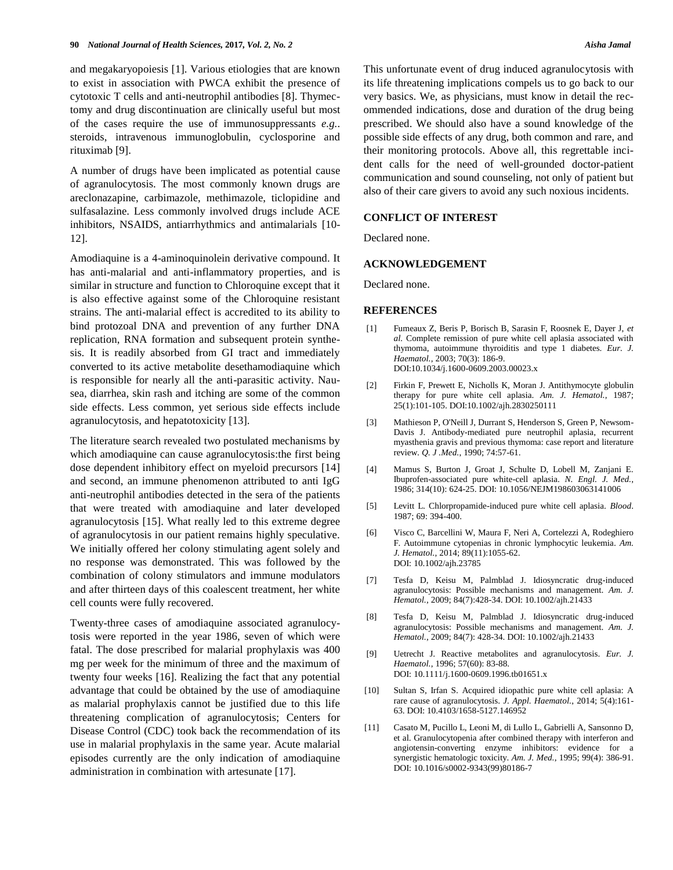and megakaryopoiesis [1]. Various etiologies that are known to exist in association with PWCA exhibit the presence of cytotoxic T cells and anti-neutrophil antibodies [8]. Thymectomy and drug discontinuation are clinically useful but most of the cases require the use of immunosuppressants *e.g.*. steroids, intravenous immunoglobulin, cyclosporine and rituximab [9].

A number of drugs have been implicated as potential cause of agranulocytosis. The most commonly known drugs are areclonazapine, carbimazole, methimazole, ticlopidine and sulfasalazine. Less commonly involved drugs include ACE inhibitors, NSAIDS, antiarrhythmics and antimalarials [10- 12].

Amodiaquine is a 4-aminoquinolein derivative compound. It has anti-malarial and anti-inflammatory properties, and is similar in structure and function to Chloroquine except that it is also effective against some of the Chloroquine resistant strains. The anti-malarial effect is accredited to its ability to bind protozoal DNA and prevention of any further DNA replication, RNA formation and subsequent protein synthesis. It is readily absorbed from GI tract and immediately converted to its active metabolite desethamodiaquine which is responsible for nearly all the anti-parasitic activity. Nausea, diarrhea, skin rash and itching are some of the common side effects. Less common, yet serious side effects include agranulocytosis, and hepatotoxicity [13].

The literature search revealed two postulated mechanisms by which amodiaquine can cause agranulocytosis:the first being dose dependent inhibitory effect on myeloid precursors [14] and second, an immune phenomenon attributed to anti IgG anti-neutrophil antibodies detected in the sera of the patients that were treated with amodiaquine and later developed agranulocytosis [15]. What really led to this extreme degree of agranulocytosis in our patient remains highly speculative. We initially offered her colony stimulating agent solely and no response was demonstrated. This was followed by the combination of colony stimulators and immune modulators and after thirteen days of this coalescent treatment, her white cell counts were fully recovered.

Twenty-three cases of amodiaquine associated agranulocytosis were reported in the year 1986, seven of which were fatal. The dose prescribed for malarial prophylaxis was 400 mg per week for the minimum of three and the maximum of twenty four weeks [16]. Realizing the fact that any potential advantage that could be obtained by the use of amodiaquine as malarial prophylaxis cannot be justified due to this life threatening complication of agranulocytosis; Centers for Disease Control (CDC) took back the recommendation of its use in malarial prophylaxis in the same year. Acute malarial episodes currently are the only indication of amodiaquine administration in combination with artesunate [17].

This unfortunate event of drug induced agranulocytosis with its life threatening implications compels us to go back to our very basics. We, as physicians, must know in detail the recommended indications, dose and duration of the drug being prescribed. We should also have a sound knowledge of the possible side effects of any drug, both common and rare, and their monitoring protocols. Above all, this regrettable incident calls for the need of well-grounded doctor-patient communication and sound counseling, not only of patient but also of their care givers to avoid any such noxious incidents.

## **CONFLICT OF INTEREST**

Declared none.

#### **ACKNOWLEDGEMENT**

Declared none.

#### **REFERENCES**

- [1] Fumeaux Z, Beris P, Borisch B, Sarasin F, Roosnek E, Dayer J, *et al.* Complete remission of pure white cell aplasia associated with thymoma, autoimmune thyroiditis and type 1 diabetes. *Eur. J. Haematol.*, 2003; 70(3): 186-9. DOI:10.1034/j.1600-0609.2003.00023.x
- [2] Firkin F, Prewett E, Nicholls K, Moran J. Antithymocyte globulin therapy for pure white cell aplasia. *Am. J. Hematol.*, 1987; 25(1):101-105. DOI:10.1002/ajh.2830250111
- [3] Mathieson P, O'Neill J, Durrant S, Henderson S, Green P, Newsom-Davis J. Antibody-mediated pure neutrophil aplasia, recurrent myasthenia gravis and previous thymoma: case report and literature review. *Q. J .Med.*, 1990; 74:57-61.
- [4] Mamus S, Burton J, Groat J, Schulte D, Lobell M, Zanjani E. Ibuprofen-associated pure white-cell aplasia. *N. Engl. J. Med.*, 1986; 314(10): 624-25. DOI: 10.1056/NEJM198603063141006
- [5] Levitt L. Chlorpropamide-induced pure white cell aplasia. *Blood*. 1987; 69: 394-400.
- [6] Visco C, Barcellini W, Maura F, Neri A, Cortelezzi A, Rodeghiero F. Autoimmune cytopenias in chronic lymphocytic leukemia. *Am. J. Hematol.*, 2014; 89(11):1055-62. DOI: 10.1002/ajh.23785
- [7] Tesfa D, Keisu M, Palmblad J. Idiosyncratic drug-induced agranulocytosis: Possible mechanisms and management. *Am. J. Hematol.*, 2009; 84(7):428-34. DOI: 10.1002/ajh.21433
- [8] Tesfa D, Keisu M, Palmblad J. Idiosyncratic drug-induced agranulocytosis: Possible mechanisms and management. *Am. J. Hematol.*, 2009; 84(7): 428-34. DOI: 10.1002/ajh.21433
- [9] Uetrecht J. Reactive metabolites and agranulocytosis. *Eur. J. Haematol.*, 1996; 57(60): 83-88. DOI: 10.1111/j.1600-0609.1996.tb01651.x
- [10] Sultan S, Irfan S. Acquired idiopathic pure white cell aplasia: A rare cause of agranulocytosis. *J. Appl. Haematol.*, 2014; 5(4):161- 63. DOI: 10.4103/1658-5127.146952
- [11] Casato M, Pucillo L, Leoni M, di Lullo L, Gabrielli A, Sansonno D, et al. Granulocytopenia after combined therapy with interferon and angiotensin-converting enzyme inhibitors: evidence for a synergistic hematologic toxicity. *Am. J. Med.*, 1995; 99(4): 386-91. DOI: 10.1016/s0002-9343(99)80186-7